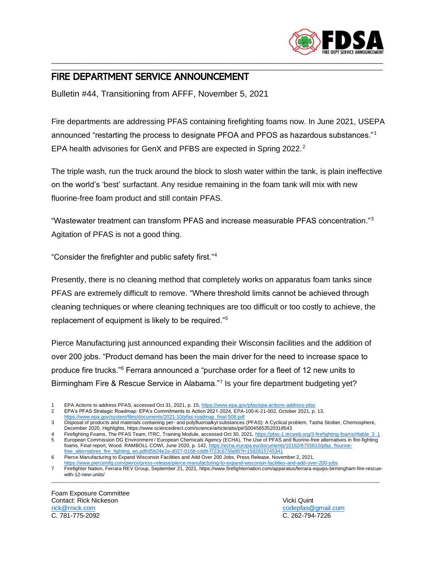

## \_\_\_\_\_\_\_\_\_\_\_\_\_\_\_\_\_\_\_\_\_\_\_\_\_\_\_\_\_\_\_\_\_\_\_\_\_\_\_\_\_\_\_\_\_\_\_\_\_\_\_\_\_\_\_\_\_\_\_\_\_\_\_\_\_\_\_\_\_\_\_\_\_\_\_\_\_\_\_\_\_\_\_\_\_\_\_\_\_\_\_\_\_\_\_\_\_\_\_\_\_\_\_\_\_\_\_\_\_\_\_\_\_\_\_\_ FIRE DEPARTMENT SERVICE ANNOUNCEMENT

Bulletin #44, Transitioning from AFFF, November 5, 2021

Fire departments are addressing PFAS containing firefighting foams now. In June 2021, USEPA announced "restarting the process to designate PFOA and PFOS as hazardous substances."<sup>1</sup> EPA health advisories for GenX and PFBS are expected in Spring 2022.<sup>2</sup>

\_\_\_\_\_\_\_\_\_\_\_\_\_\_\_\_\_\_\_\_\_\_\_\_\_\_\_\_\_\_\_\_\_\_\_\_\_\_\_\_\_\_\_\_\_\_\_\_\_\_\_\_\_\_\_\_\_\_\_\_\_\_\_\_\_\_\_\_\_\_\_\_\_\_\_\_\_\_\_\_\_\_\_\_\_\_\_\_\_\_\_\_\_\_\_\_\_\_\_\_\_\_\_\_\_\_\_\_\_\_\_\_\_\_\_\_

The triple wash, run the truck around the block to slosh water within the tank, is plain ineffective on the world's 'best' surfactant. Any residue remaining in the foam tank will mix with new fluorine-free foam product and still contain PFAS.

"Wastewater treatment can transform PFAS and increase measurable PFAS concentration."<sup>3</sup> Agitation of PFAS is not a good thing.

"Consider the firefighter and public safety first."<sup>4</sup>

Presently, there is no cleaning method that completely works on apparatus foam tanks since PFAS are extremely difficult to remove. "Where threshold limits cannot be achieved through cleaning techniques or where cleaning techniques are too difficult or too costly to achieve, the replacement of equipment is likely to be required."<sup>5</sup>

Pierce Manufacturing just announced expanding their Wisconsin facilities and the addition of over 200 jobs. "Product demand has been the main driver for the need to increase space to produce fire trucks."<sup>6</sup> Ferrara announced a "purchase order for a fleet of 12 new units to Birmingham Fire & Rescue Service in Alabama."<sup>7</sup> Is your fire department budgeting yet?

1 EPA Actions to address PFAS, accessed Oct 31, 2021, p. 15[, https://www.epa.gov/pfas/epa-actions-address-pfas](https://www.epa.gov/pfas/epa-actions-address-pfas)<br>2 EPA's PFAS Strategic Roadmap: EPA's Commitments to Action 2021-2024. EPA-100-K-21-002. October 2021. p. 2 EPA's PFAS Strategic Roadmap: EPA's Commitments to Action 2021-2024, EPA-100-K-21-002, October 2021, p. 13,

Foam Exposure Committee **Contact: Rick Nickeson** Vicki Quint [rick@rnick.com](mailto:rick@rnick.com) [codepfas@gmail.com](mailto:codepfas@gmail.com) C. 781-775-2092 C. 262-794-7226

[https://www.epa.gov/system/files/documents/2021-10/pfas-roadmap\\_final-508.pdf](https://www.epa.gov/system/files/documents/2021-10/pfas-roadmap_final-508.pdf)

<sup>3</sup> Disposal of products and materials containing per- and polyfluoroalkyl substances (PFAS): A Cyclical problem, Tasha Stoiber, Chemosphere, December 2020, Highlights, https://www.sciencedirect.com/science/article/abs/pii/S0045653520318543

<sup>4</sup> Firefighting Foams, The PFAS Team, ITRC, Training Module, accessed Oct 30, 2021, https://pfas-1.itrcweb.org/3-firefighting-foams/#table 3 1<br>5 Furopean Commission DG Environment / Furopean Chemicals Agency (FCHA). The Use 5 European Commission DG Environment / European Chemicals Agency (ECHA), The Use of PFAS and fluorine-free alternatives in fire-fighting foams, Final report, Wood. RAMBOLL COWI, June 2020, p. 142, https://echa.europa.eu/documents/10162/6755610/pfas\_flourine-<br>[free\\_alternatives\\_fire\\_fighting\\_en.pdf/d5b24e2a-d027-0168-cdd8-f723c675fa98?t=1592815745341](https://echa.europa.eu/documents/10162/6755610/pfas_flourine-free_alternatives_fire_fighting_en.pdf/d5b24e2a-d027-0168-cdd8-f723c675fa98?t=1592815745341)

<sup>6</sup> Pierce Manufacturing to Expand Wisconsin Facilities and Add Over 200 Jobs, Press Release, November 2, 2021,

<https://www.piercemfg.com/pierce/press-release/pierce-manufacturing-to-expand-wisconsin-facilities-and-add-over-200-jobs> 7 Firefighter Nation, Ferrara REV Group, September 21, 2021, https://www.firefighternation.com/apparatus/ferrara-equips-birmingham-fire-rescuewith-12-new-units/ \_\_\_\_\_\_\_\_\_\_\_\_\_\_\_\_\_\_\_\_\_\_\_\_\_\_\_\_\_\_\_\_\_\_\_\_\_\_\_\_\_\_\_\_\_\_\_\_\_\_\_\_\_\_\_\_\_\_\_\_\_\_\_\_\_\_\_\_\_\_\_\_\_\_\_\_\_\_\_\_\_\_\_\_\_\_\_\_\_\_\_\_\_\_\_\_\_\_\_\_\_\_\_\_\_\_\_\_\_\_\_\_\_\_\_\_\_\_\_\_\_\_\_\_\_\_\_\_\_\_\_\_